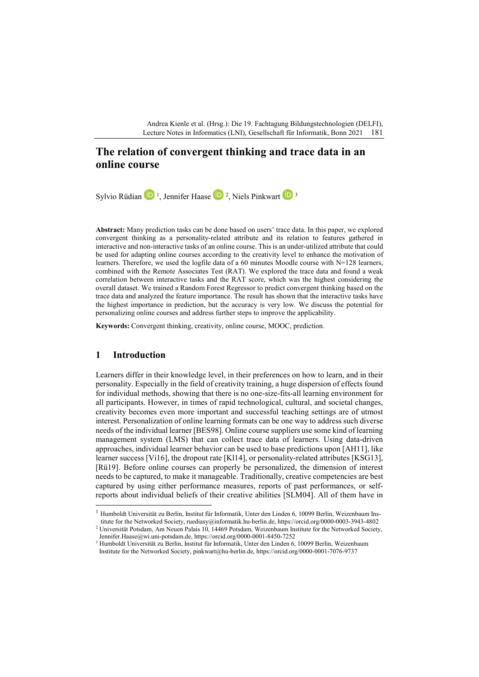Andrea Kienle et al. (Hrsg.): Die 19. Fachtagung Bildungstechnologien (DELFI), Lecture Notes in Informatics (LNI), Gesellschaft für Informatik, Bonn 2021 181

# **The relation of convergent thinking and trace data in an online course**

Sylvio Rüdian **[1](#page-0-0)**, Jennifer Haase **1**, Niels Pinkwart <sup>1</sup>

**Abstract:** Many prediction tasks can be done based on users' trace data. In this paper, we explored convergent thinking as a personality-related attribute and its relation to features gathered in interactive and non-interactive tasks of an online course. This is an under-utilized attribute that could be used for adapting online courses according to the creativity level to enhance the motivation of learners. Therefore, we used the logfile data of a 60 minutes Moodle course with N=128 learners, combined with the Remote Associates Test (RAT). We explored the trace data and found a weak correlation between interactive tasks and the RAT score, which was the highest considering the overall dataset. We trained a Random Forest Regressor to predict convergent thinking based on the trace data and analyzed the feature importance. The result has shown that the interactive tasks have the highest importance in prediction, but the accuracy is very low. We discuss the potential for personalizing online courses and address further steps to improve the applicability.

**Keywords:** Convergent thinking, creativity, online course, MOOC, prediction.

### **1 Introduction**

Learners differ in their knowledge level, in their preferences on how to learn, and in their personality. Especially in the field of creativity training, a huge dispersion of effects found for individual methods, showing that there is no one-size-fits-all learning environment for all participants. However, in times of rapid technological, cultural, and societal changes, creativity becomes even more important and successful teaching settings are of utmost interest. Personalization of online learning formats can be one way to address such diverse needs of the individual learner [BES98]. Online course suppliers use some kind of learning management system (LMS) that can collect trace data of learners. Using data-driven approaches, individual learner behavior can be used to base predictions upon [AH11], like learner success [Vi16], the dropout rate [Kl14], or personality-related attributes [KSG13], [Rü19]. Before online courses can properly be personalized, the dimension of interest needs to be captured, to make it manageable. Traditionally, creative competencies are best captured by using either performance measures, reports of past performances, or selfreports about individual beliefs of their creative abilities [SLM04]. All of them have in

<span id="page-0-0"></span> $1$  Humboldt Universität zu Berlin, Institut für Informatik, Unter den Linden 6, 10099 Berlin, Weizenbaum Institute for the Networked Society, ruediasy@informatik.hu-berlin.de, https://orcid.org/0000-0003-3943-4802

<span id="page-0-1"></span> $2$  Universität Potsdam, Am Neuen Palais 10, 14469 Potsdam, Weizenbaum Institute for the Networked Society, Jennifer.Haase@wi.uni-potsdam.de, https://orcid.org/0000-0001-8450-7252

<span id="page-0-2"></span><sup>3</sup> Humboldt Universität zu Berlin, Institut für Informatik, Unter den Linden 6, 10099 Berlin, Weizenbaum Institute for the Networked Society, pinkwart@hu-berlin.de, https://orcid.org/0000-0001-7076-9737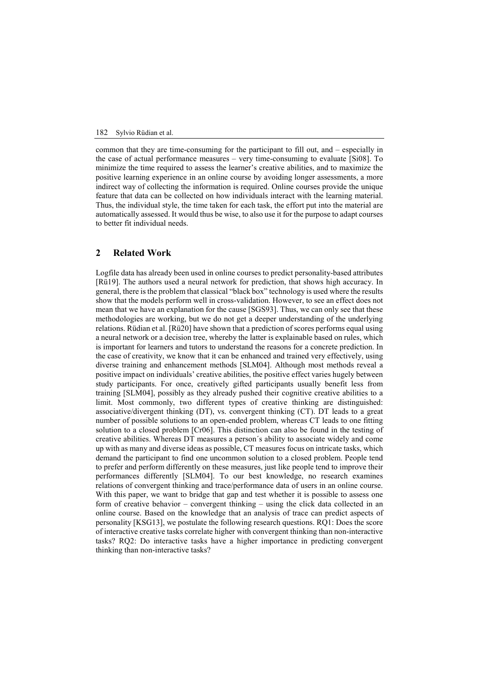### 182 Sylvio Rüdian et al.

common that they are time-consuming for the participant to fill out, and – especially in the case of actual performance measures – very time-consuming to evaluate [Si08]. To minimize the time required to assess the learner's creative abilities, and to maximize the positive learning experience in an online course by avoiding longer assessments, a more indirect way of collecting the information is required. Online courses provide the unique feature that data can be collected on how individuals interact with the learning material. Thus, the individual style, the time taken for each task, the effort put into the material are automatically assessed. It would thus be wise, to also use it for the purpose to adapt courses to better fit individual needs.

## **2 Related Work**

Logfile data has already been used in online courses to predict personality-based attributes [Rü19]. The authors used a neural network for prediction, that shows high accuracy. In general, there is the problem that classical "black box" technology is used where the results show that the models perform well in cross-validation. However, to see an effect does not mean that we have an explanation for the cause [SGS93]. Thus, we can only see that these methodologies are working, but we do not get a deeper understanding of the underlying relations. Rüdian et al. [Rü20] have shown that a prediction of scores performs equal using a neural network or a decision tree, whereby the latter is explainable based on rules, which is important for learners and tutors to understand the reasons for a concrete prediction. In the case of creativity, we know that it can be enhanced and trained very effectively, using diverse training and enhancement methods [SLM04]. Although most methods reveal a positive impact on individuals' creative abilities, the positive effect varies hugely between study participants. For once, creatively gifted participants usually benefit less from training [SLM04], possibly as they already pushed their cognitive creative abilities to a limit. Most commonly, two different types of creative thinking are distinguished: associative/divergent thinking (DT), vs. convergent thinking (CT). DT leads to a great number of possible solutions to an open-ended problem, whereas CT leads to one fitting solution to a closed problem [Cr06]. This distinction can also be found in the testing of creative abilities. Whereas DT measures a person´s ability to associate widely and come up with as many and diverse ideas as possible, CT measures focus on intricate tasks, which demand the participant to find one uncommon solution to a closed problem. People tend to prefer and perform differently on these measures, just like people tend to improve their performances differently [SLM04]. To our best knowledge, no research examines relations of convergent thinking and trace/performance data of users in an online course. With this paper, we want to bridge that gap and test whether it is possible to assess one form of creative behavior – convergent thinking – using the click data collected in an online course. Based on the knowledge that an analysis of trace can predict aspects of personality [KSG13], we postulate the following research questions. RQ1: Does the score of interactive creative tasks correlate higher with convergent thinking than non-interactive tasks? RQ2: Do interactive tasks have a higher importance in predicting convergent thinking than non-interactive tasks?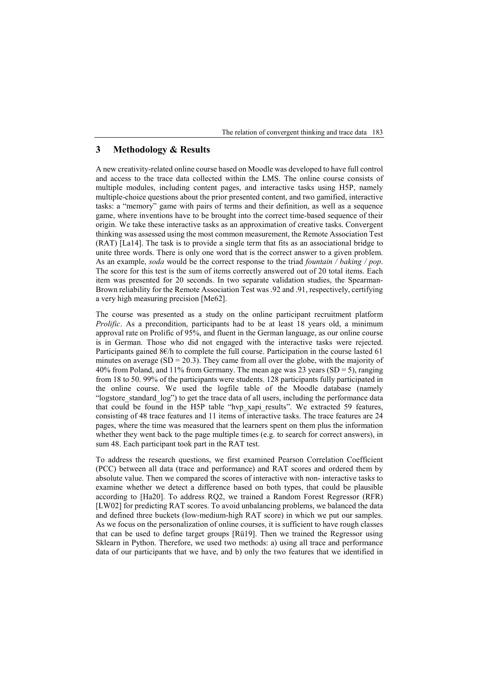The relation of convergent thinking and trace data 183

# **3 Methodology & Results**

A new creativity-related online course based on Moodle was developed to have full control and access to the trace data collected within the LMS. The online course consists of multiple modules, including content pages, and interactive tasks using H5P, namely multiple-choice questions about the prior presented content, and two gamified, interactive tasks: a "memory" game with pairs of terms and their definition, as well as a sequence game, where inventions have to be brought into the correct time-based sequence of their origin. We take these interactive tasks as an approximation of creative tasks. Convergent thinking was assessed using the most common measurement, the Remote Association Test (RAT) [La14]. The task is to provide a single term that fits as an associational bridge to unite three words. There is only one word that is the correct answer to a given problem. As an example, *soda* would be the correct response to the triad *[fountain / baking / pop](https://www.remote-associates-test.com/items/9/fountain-baking-pop)*. The score for this test is the sum of items correctly answered out of 20 total items. Each item was presented for 20 seconds. In two separate validation studies, the Spearman-Brown reliability for the Remote Association Test was .92 and .91, respectively, certifying a very high measuring precision [Me62].

The course was presented as a study on the online participant recruitment platform *Prolific*. As a precondition, participants had to be at least 18 years old, a minimum approval rate on Prolific of 95%, and fluent in the German language, as our online course is in German. Those who did not engaged with the interactive tasks were rejected. Participants gained 8€/h to complete the full course. Participation in the course lasted 61 minutes on average  $(SD = 20.3)$ . They came from all over the globe, with the majority of 40% from Poland, and 11% from Germany. The mean age was 23 years  $(SD = 5)$ , ranging from 18 to 50. 99% of the participants were students. 128 participants fully participated in the online course. We used the logfile table of the Moodle database (namely "logstore\_standard\_log") to get the trace data of all users, including the performance data that could be found in the H5P table "hvp\_xapi\_results". We extracted 59 features, consisting of 48 trace features and 11 items of interactive tasks. The trace features are 24 pages, where the time was measured that the learners spent on them plus the information whether they went back to the page multiple times (e.g. to search for correct answers), in sum 48. Each participant took part in the RAT test.

To address the research questions, we first examined Pearson Correlation Coefficient (PCC) between all data (trace and performance) and RAT scores and ordered them by absolute value. Then we compared the scores of interactive with non- interactive tasks to examine whether we detect a difference based on both types, that could be plausible according to [Ha20]. To address RQ2, we trained a Random Forest Regressor (RFR) [LW02] for predicting RAT scores. To avoid unbalancing problems, we balanced the data and defined three buckets (low-medium-high RAT score) in which we put our samples. As we focus on the personalization of online courses, it is sufficient to have rough classes that can be used to define target groups [Rü19]. Then we trained the Regressor using Sklearn in Python. Therefore, we used two methods: a) using all trace and performance data of our participants that we have, and b) only the two features that we identified in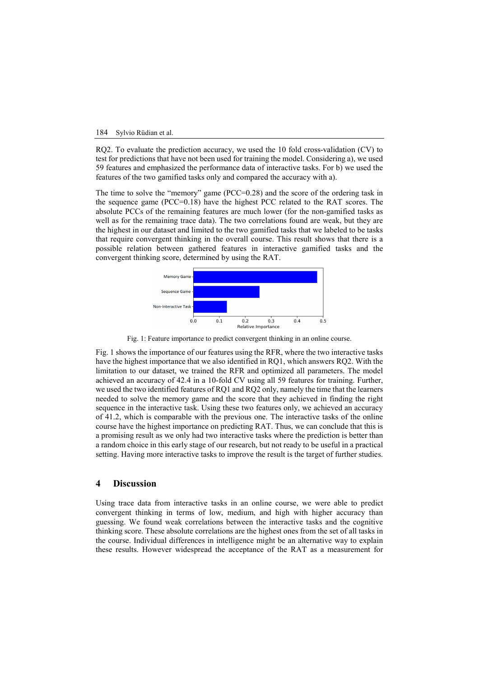#### 184 Sylvio Rüdian et al.

RQ2. To evaluate the prediction accuracy, we used the 10 fold cross-validation (CV) to test for predictions that have not been used for training the model. Considering a), we used 59 features and emphasized the performance data of interactive tasks. For b) we used the features of the two gamified tasks only and compared the accuracy with a).

The time to solve the "memory" game (PCC=0.28) and the score of the ordering task in the sequence game (PCC=0.18) have the highest PCC related to the RAT scores. The absolute PCCs of the remaining features are much lower (for the non-gamified tasks as well as for the remaining trace data). The two correlations found are weak, but they are the highest in our dataset and limited to the two gamified tasks that we labeled to be tasks that require convergent thinking in the overall course. This result shows that there is a possible relation between gathered features in interactive gamified tasks and the convergent thinking score, determined by using the RAT.



Fig. 1: Feature importance to predict convergent thinking in an online course.

Fig. 1 shows the importance of our features using the RFR, where the two interactive tasks have the highest importance that we also identified in RQ1, which answers RQ2. With the limitation to our dataset, we trained the RFR and optimized all parameters. The model achieved an accuracy of 42.4 in a 10-fold CV using all 59 features for training. Further, we used the two identified features of RQ1 and RQ2 only, namely the time that the learners needed to solve the memory game and the score that they achieved in finding the right sequence in the interactive task. Using these two features only, we achieved an accuracy of 41.2, which is comparable with the previous one. The interactive tasks of the online course have the highest importance on predicting RAT. Thus, we can conclude that this is a promising result as we only had two interactive tasks where the prediction is better than a random choice in this early stage of our research, but not ready to be useful in a practical setting. Having more interactive tasks to improve the result is the target of further studies.

### **4 Discussion**

Using trace data from interactive tasks in an online course, we were able to predict convergent thinking in terms of low, medium, and high with higher accuracy than guessing. We found weak correlations between the interactive tasks and the cognitive thinking score. These absolute correlations are the highest ones from the set of all tasks in the course. Individual differences in intelligence might be an alternative way to explain these results. However widespread the acceptance of the RAT as a measurement for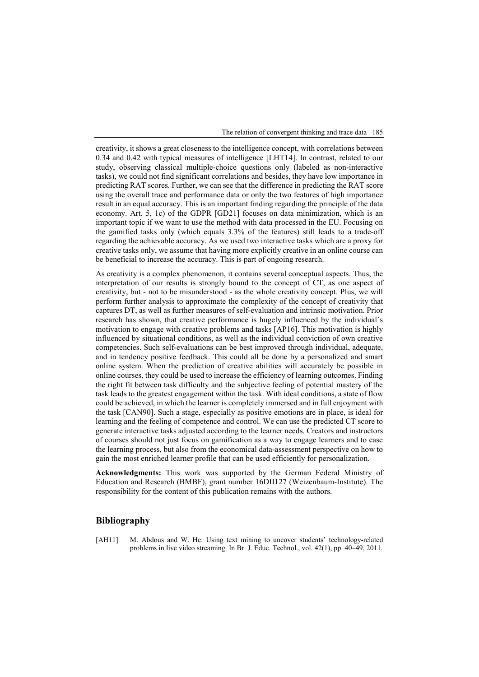The relation of convergent thinking and trace data 185

creativity, it shows a great closeness to the intelligence concept, with correlations between 0.34 and 0.42 with typical measures of intelligence [LHT14]. In contrast, related to our study, observing classical multiple-choice questions only (labeled as non-interactive tasks), we could not find significant correlations and besides, they have low importance in predicting RAT scores. Further, we can see that the difference in predicting the RAT score using the overall trace and performance data or only the two features of high importance result in an equal accuracy. This is an important finding regarding the principle of the data economy. Art. 5, 1c) of the GDPR [GD21] focuses on data minimization, which is an important topic if we want to use the method with data processed in the EU. Focusing on the gamified tasks only (which equals 3.3% of the features) still leads to a trade-off regarding the achievable accuracy. As we used two interactive tasks which are a proxy for creative tasks only, we assume that having more explicitly creative in an online course can be beneficial to increase the accuracy. This is part of ongoing research.

As creativity is a complex phenomenon, it contains several conceptual aspects. Thus, the interpretation of our results is strongly bound to the concept of CT, as one aspect of creativity, but - not to be misunderstood - as the whole creativity concept. Plus, we will perform further analysis to approximate the complexity of the concept of creativity that captures DT, as well as further measures of self-evaluation and intrinsic motivation. Prior research has shown, that creative performance is hugely influenced by the individual´s motivation to engage with creative problems and tasks [AP16]. This motivation is highly influenced by situational conditions, as well as the individual conviction of own creative competencies. Such self-evaluations can be best improved through individual, adequate, and in tendency positive feedback. This could all be done by a personalized and smart online system. When the prediction of creative abilities will accurately be possible in online courses, they could be used to increase the efficiency of learning outcomes. Finding the right fit between task difficulty and the subjective feeling of potential mastery of the task leads to the greatest engagement within the task. With ideal conditions, a state of flow could be achieved, in which the learner is completely immersed and in full enjoyment with the task [CAN90]. Such a stage, especially as positive emotions are in place, is ideal for learning and the feeling of competence and control. We can use the predicted CT score to generate interactive tasks adjusted according to the learner needs. Creators and instructors of courses should not just focus on gamification as a way to engage learners and to ease the learning process, but also from the economical data-assessment perspective on how to gain the most enriched learner profile that can be used efficiently for personalization.

**Acknowledgments:** This work was supported by the German Federal Ministry of Education and Research (BMBF), grant number 16DII127 (Weizenbaum-Institute). The responsibility for the content of this publication remains with the authors.

## **Bibliography**

[AH11] M. Abdous and W. He: Using text mining to uncover students' technology-related problems in live video streaming. In Br. J. Educ. Technol., vol. 42(1), pp. 40–49, 2011.